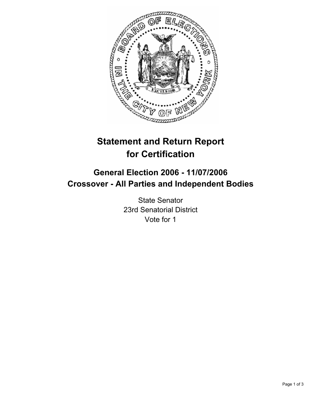

## **Statement and Return Report for Certification**

## **General Election 2006 - 11/07/2006 Crossover - All Parties and Independent Bodies**

State Senator 23rd Senatorial District Vote for 1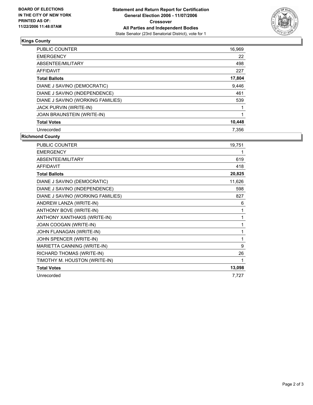

## **Kings County**

| <b>PUBLIC COUNTER</b>             | 16,969 |
|-----------------------------------|--------|
| <b>EMERGENCY</b>                  | 22     |
| ABSENTEE/MILITARY                 | 498    |
| <b>AFFIDAVIT</b>                  | 227    |
| <b>Total Ballots</b>              | 17,804 |
| DIANE J SAVINO (DEMOCRATIC)       | 9,446  |
| DIANE J SAVINO (INDEPENDENCE)     | 461    |
| DIANE J SAVINO (WORKING FAMILIES) | 539    |
| JACK PURVIN (WRITE-IN)            |        |
| <b>JOAN BRAUNSTEIN (WRITE-IN)</b> |        |
| <b>Total Votes</b>                | 10,448 |
| Unrecorded                        | 7.356  |

**Richmond County**

| <b>PUBLIC COUNTER</b>             | 19,751 |
|-----------------------------------|--------|
| <b>EMERGENCY</b>                  |        |
| ABSENTEE/MILITARY                 | 619    |
| <b>AFFIDAVIT</b>                  | 418    |
| <b>Total Ballots</b>              | 20,825 |
| DIANE J SAVINO (DEMOCRATIC)       | 11,626 |
| DIANE J SAVINO (INDEPENDENCE)     | 598    |
| DIANE J SAVINO (WORKING FAMILIES) | 827    |
| ANDREW LANZA (WRITE-IN)           | 6      |
| ANTHONY BOVE (WRITE-IN)           | 1      |
| ANTHONY XANTHAKIS (WRITE-IN)      |        |
| JOAN COOGAN (WRITE-IN)            |        |
| JOHN FLANAGAN (WRITE-IN)          |        |
| JOHN SPENCER (WRITE-IN)           |        |
| MARIETTA CANNING (WRITE-IN)       | 9      |
| RICHARD THOMAS (WRITE-IN)         | 26     |
| TIMOTHY M. HOUSTON (WRITE-IN)     |        |
| <b>Total Votes</b>                | 13,098 |
| Unrecorded                        | 7,727  |